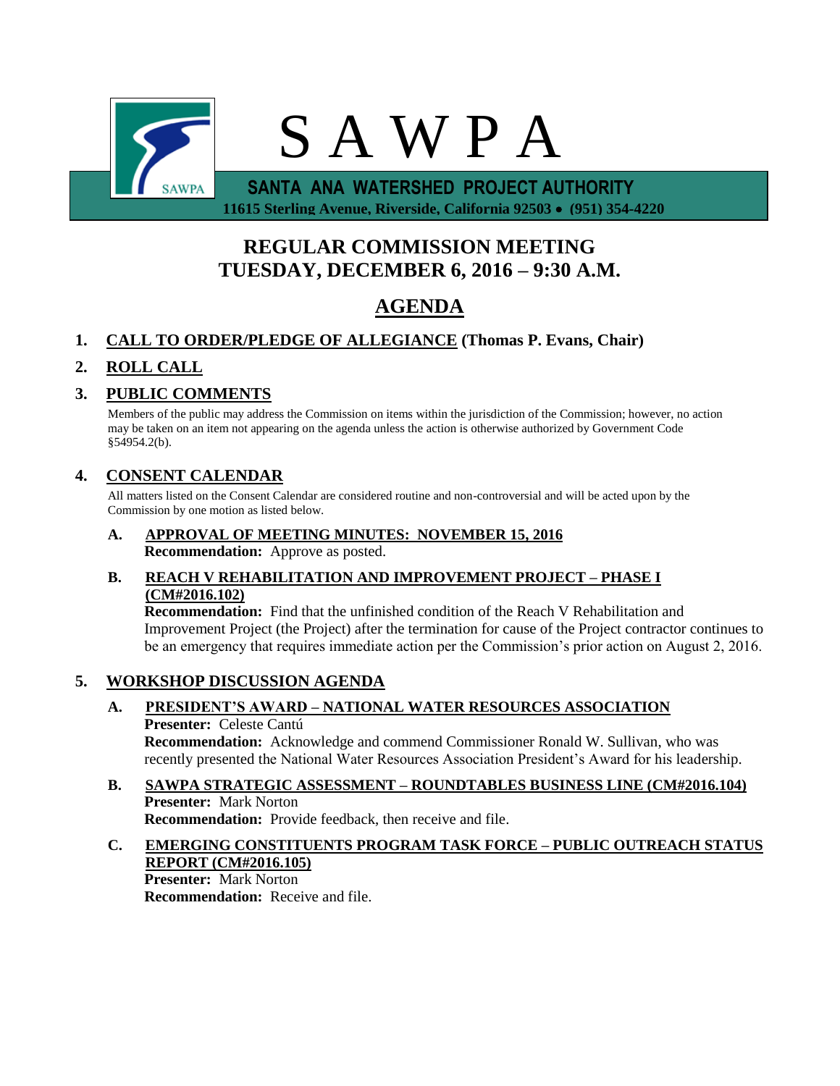

 **11615 Sterling Avenue, Riverside, California 92503 (951) 354-4220**

# **REGULAR COMMISSION MEETING TUESDAY, DECEMBER 6, 2016 – 9:30 A.M.**

# **AGENDA**

# **1. CALL TO ORDER/PLEDGE OF ALLEGIANCE (Thomas P. Evans, Chair)**

# **2. ROLL CALL**

# **3. PUBLIC COMMENTS**

Members of the public may address the Commission on items within the jurisdiction of the Commission; however, no action may be taken on an item not appearing on the agenda unless the action is otherwise authorized by Government Code §54954.2(b).

# **4. CONSENT CALENDAR**

All matters listed on the Consent Calendar are considered routine and non-controversial and will be acted upon by the Commission by one motion as listed below.

**A. APPROVAL OF MEETING MINUTES: NOVEMBER 15, 2016 Recommendation:** Approve as posted.

## **B. REACH V REHABILITATION AND IMPROVEMENT PROJECT – PHASE I (CM#2016.102)**

**Recommendation:** Find that the unfinished condition of the Reach V Rehabilitation and Improvement Project (the Project) after the termination for cause of the Project contractor continues to be an emergency that requires immediate action per the Commission's prior action on August 2, 2016.

## **5. WORKSHOP DISCUSSION AGENDA**

**A. PRESIDENT'S AWARD – NATIONAL WATER RESOURCES ASSOCIATION Presenter:** Celeste Cantú **Recommendation:** Acknowledge and commend Commissioner Ronald W. Sullivan, who was

recently presented the National Water Resources Association President's Award for his leadership.

#### **B. SAWPA STRATEGIC ASSESSMENT – ROUNDTABLES BUSINESS LINE (CM#2016.104) Presenter:** Mark Norton **Recommendation:** Provide feedback, then receive and file.

**C. EMERGING CONSTITUENTS PROGRAM TASK FORCE – PUBLIC OUTREACH STATUS REPORT (CM#2016.105) Presenter:** Mark Norton **Recommendation:** Receive and file.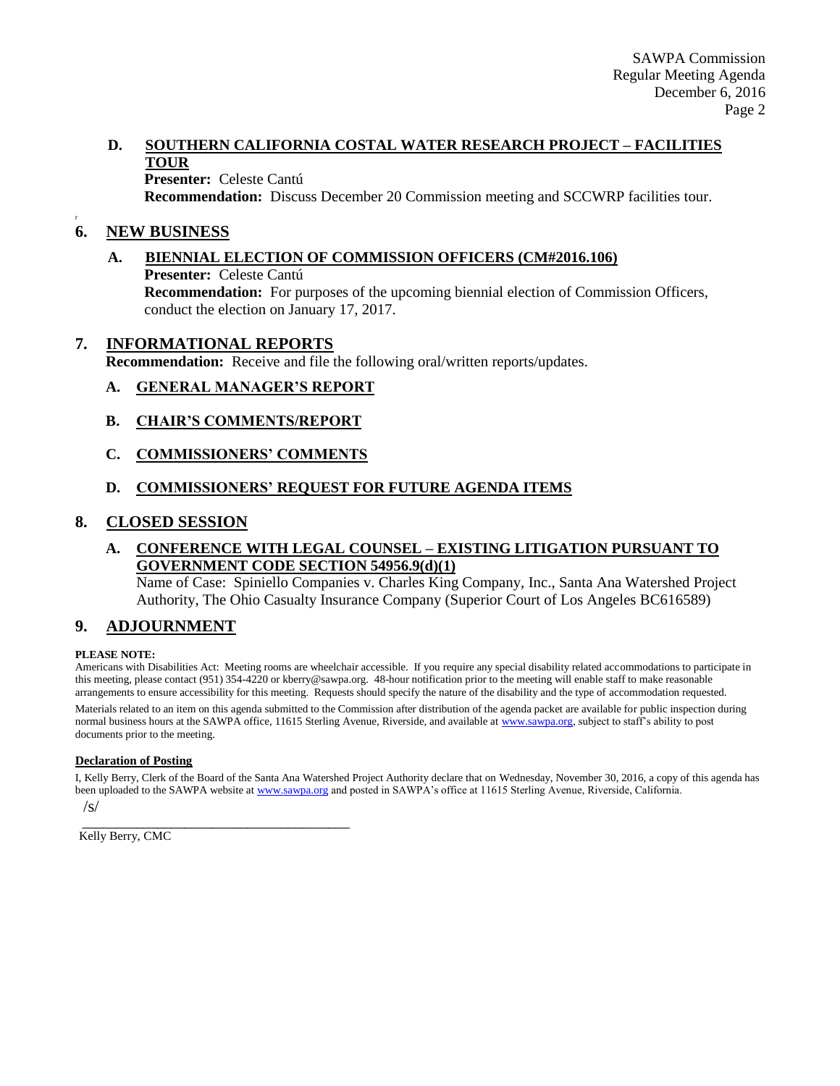## **D. SOUTHERN CALIFORNIA COSTAL WATER RESEARCH PROJECT – FACILITIES TOUR**

**Presenter:** Celeste Cantú **Recommendation:** Discuss December 20 Commission meeting and SCCWRP facilities tour.

#### r **6. NEW BUSINESS**

#### **A. BIENNIAL ELECTION OF COMMISSION OFFICERS (CM#2016.106) Presenter:** Celeste Cantú **Recommendation:** For purposes of the upcoming biennial election of Commission Officers, conduct the election on January 17, 2017.

### **7. INFORMATIONAL REPORTS**

**Recommendation:** Receive and file the following oral/written reports/updates.

### **A. GENERAL MANAGER'S REPORT**

#### **B. CHAIR'S COMMENTS/REPORT**

#### **C. COMMISSIONERS' COMMENTS**

### **D. COMMISSIONERS' REQUEST FOR FUTURE AGENDA ITEMS**

#### **8. CLOSED SESSION**

### **A. CONFERENCE WITH LEGAL COUNSEL – EXISTING LITIGATION PURSUANT TO GOVERNMENT CODE SECTION 54956.9(d)(1)**

Name of Case: Spiniello Companies v. Charles King Company, Inc., Santa Ana Watershed Project Authority, The Ohio Casualty Insurance Company (Superior Court of Los Angeles BC616589)

## **9. ADJOURNMENT**

#### **PLEASE NOTE:**

Americans with Disabilities Act: Meeting rooms are wheelchair accessible. If you require any special disability related accommodations to participate in this meeting, please contact (951) 354-4220 or kberry@sawpa.org. 48-hour notification prior to the meeting will enable staff to make reasonable arrangements to ensure accessibility for this meeting. Requests should specify the nature of the disability and the type of accommodation requested. Materials related to an item on this agenda submitted to the Commission after distribution of the agenda packet are available for public inspection during

normal business hours at the SAWPA office, 11615 Sterling Avenue, Riverside, and available a[t www.sawpa.org,](http://www.sawpa.org/) subject to staff's ability to post documents prior to the meeting.

#### **Declaration of Posting**

I, Kelly Berry, Clerk of the Board of the Santa Ana Watershed Project Authority declare that on Wednesday, November 30, 2016, a copy of this agenda has been uploaded to the SAWPA website a[t www.sawpa.org](http://www.sawpa.org/) and posted in SAWPA's office at 11615 Sterling Avenue, Riverside, California.  $\sqrt{s}$ 

\_\_\_\_\_\_\_\_\_\_\_\_\_\_\_\_\_\_\_\_\_\_\_\_\_\_\_\_\_\_\_\_\_\_\_\_\_\_\_ Kelly Berry, CMC